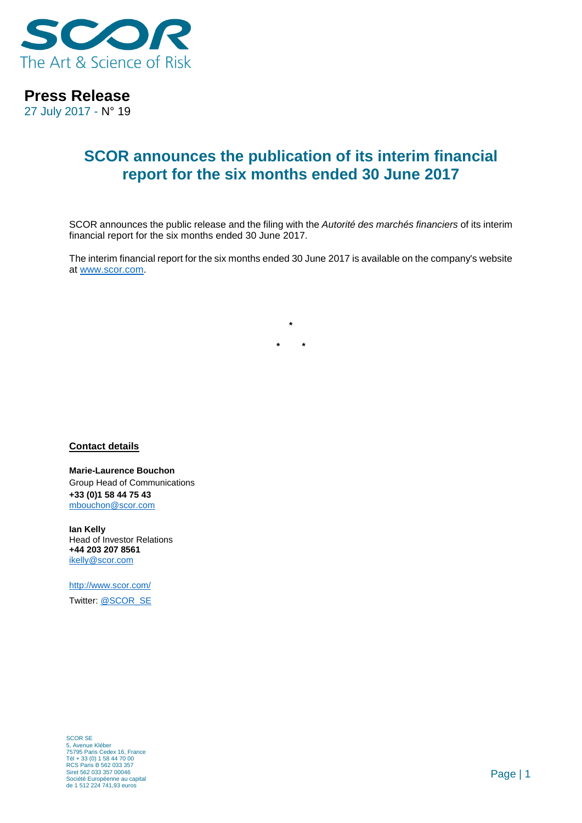

## **Press Release**

27 July 2017 - N° 19

## **SCOR announces the publication of its interim financial report for the six months ended 30 June 2017**

SCOR announces the public release and the filing with the *Autorité des marchés financiers* of its interim financial report for the six months ended 30 June 2017.

The interim financial report for the six months ended 30 June 2017 is available on the company's website at [www.scor.com.](www.scor.com)

**\***

**\* \***

**Contact details**

**Marie-Laurence Bouchon** Group Head of Communications **+33 (0)1 58 44 75 43** [mbouchon@scor.com](mailto:mbouchon@scor.com)

**Ian Kelly** Head of Investor Relations **+44 203 207 8561** [ikelly@scor.com](mailto:ikelly@scor.com)

[http://www.scor.com/](http://www.scor.com/en/) Twitter: [@SCOR\\_SE](https://twitter.com/SCOR_SE)

SCOR SE 5, Avenue Kléber 75795 Paris Cedex 16, France Tél + 33 (0) 1 58 44 70 00 RCS Paris B 562 033 357 Siret 562 033 357 00046 Société Européenne au capital de 1 512 224 741,93 euros